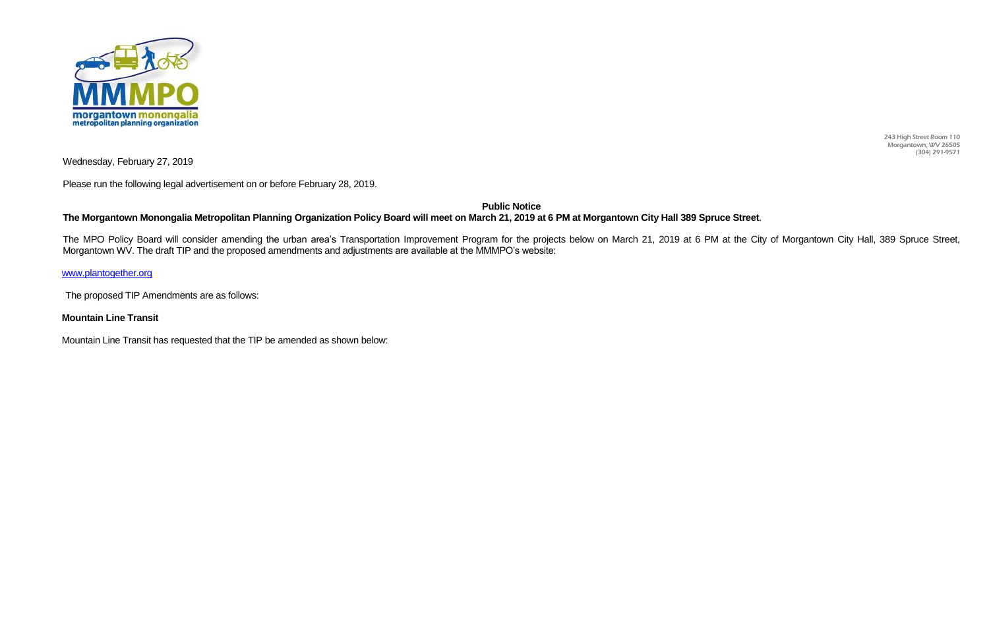243 High Street Room 110 Morgantown, WV 26505 (304) 291-9571



Wednesday, February 27, 2019

Please run the following legal advertisement on or before February 28, 2019.

**Public Notice**

## **The Morgantown Monongalia Metropolitan Planning Organization Policy Board will meet on March 21, 2019 at 6 PM at Morgantown City Hall 389 Spruce Street**.

The MPO Policy Board will consider amending the urban area's Transportation Improvement Program for the projects below on March 21, 2019 at 6 PM at the City of Morgantown City Hall, 389 Spruce Street, Morgantown WV. The draft TIP and the proposed amendments and adjustments are available at the MMMPO's website:

## [www.plantogether.org](http://www.plantogether.org/)

The proposed TIP Amendments are as follows:

## **Mountain Line Transit**

Mountain Line Transit has requested that the TIP be amended as shown below: